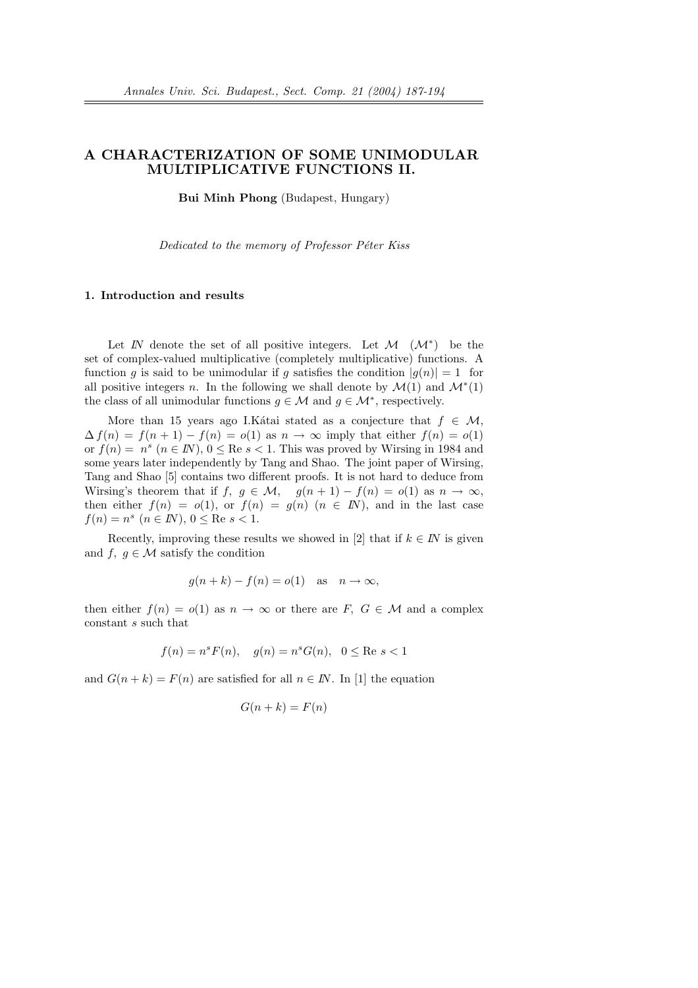# A CHARACTERIZATION OF SOME UNIMODULAR MULTIPLICATIVE FUNCTIONS II.

Bui Minh Phong (Budapest, Hungary)

Dedicated to the memory of Professor Péter Kiss

#### 1. Introduction and results

Let  $\mathbb N$  denote the set of all positive integers. Let  $\mathcal M$   $(\mathcal M^*)$  be the set of complex-valued multiplicative (completely multiplicative) functions. A function q is said to be unimodular if q satisfies the condition  $|q(n)| = 1$  for all positive integers n. In the following we shall denote by  $\mathcal{M}(1)$  and  $\mathcal{M}^*(1)$ the class of all unimodular functions  $g \in \mathcal{M}$  and  $g \in \mathcal{M}^*$ , respectively.

More than 15 years ago I.Katai stated as a conjecture that  $f \in \mathcal{M}$ ,  $\Delta f(n) = f(n+1) - f(n) = o(1)$  as  $n \to \infty$  imply that either  $f(n) = o(1)$ or  $f(n) = n^s$   $(n \in \mathbb{N})$ ,  $0 \leq$  Re  $s < 1$ . This was proved by Wirsing in 1984 and some years later independently by Tang and Shao. The joint paper of Wirsing, Tang and Shao [5] contains two different proofs. It is not hard to deduce from Wirsing's theorem that if  $f, g \in \mathcal{M}$ ,  $g(n+1) - f(n) = o(1)$  as  $n \to \infty$ , then either  $f(n) = o(1)$ , or  $f(n) = g(n)$   $(n \in \mathbb{N})$ , and in the last case  $f(n) = n^s \ (n \in \mathbb{N}), \ 0 \leq \text{Re } s < 1.$ 

Recently, improving these results we showed in [2] that if  $k \in I\!N$  is given and f,  $g \in \mathcal{M}$  satisfy the condition

$$
g(n+k) - f(n) = o(1) \quad \text{as} \quad n \to \infty,
$$

then either  $f(n) = o(1)$  as  $n \to \infty$  or there are F,  $G \in \mathcal{M}$  and a complex constant s such that

$$
f(n) = n^s F(n), \quad g(n) = n^s G(n), \quad 0 \le \text{Re } s < 1
$$

and  $G(n+k) = F(n)$  are satisfied for all  $n \in \mathbb{N}$ . In [1] the equation

$$
G(n+k) = F(n)
$$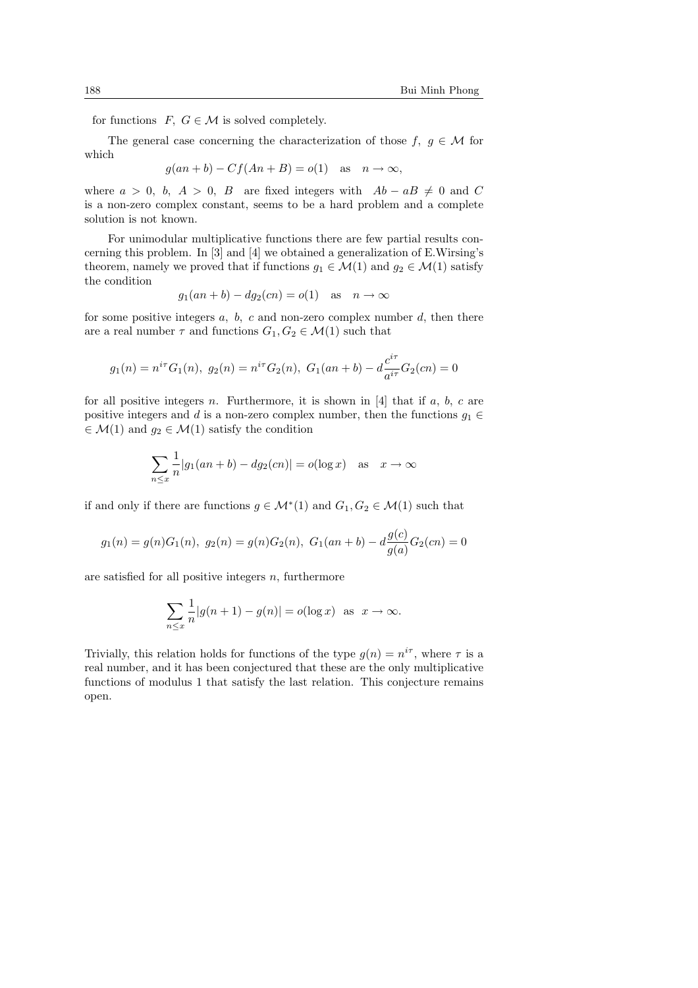for functions  $F, G \in \mathcal{M}$  is solved completely.

The general case concerning the characterization of those  $f, g \in \mathcal{M}$  for which

$$
g(an+b) - Cf(An+B) = o(1) \text{ as } n \to \infty,
$$

where  $a > 0$ , b,  $A > 0$ , B are fixed integers with  $Ab - aB \neq 0$  and C is a non-zero complex constant, seems to be a hard problem and a complete solution is not known.

For unimodular multiplicative functions there are few partial results concerning this problem. In [3] and [4] we obtained a generalization of E.Wirsing's theorem, namely we proved that if functions  $g_1 \in \mathcal{M}(1)$  and  $g_2 \in \mathcal{M}(1)$  satisfy the condition

$$
g_1(an+b) - dg_2(cn) = o(1)
$$
 as  $n \to \infty$ 

for some positive integers  $a, b, c$  and non-zero complex number  $d$ , then there are a real number  $\tau$  and functions  $G_1, G_2 \in \mathcal{M}(1)$  such that

$$
g_1(n) = n^{i\tau}G_1(n), g_2(n) = n^{i\tau}G_2(n), G_1(an+b) - d\frac{c^{i\tau}}{a^{i\tau}}G_2(cn) = 0
$$

for all positive integers n. Furthermore, it is shown in  $[4]$  that if a, b, c are positive integers and d is a non-zero complex number, then the functions  $g_1 \in$  $\in \mathcal{M}(1)$  and  $g_2 \in \mathcal{M}(1)$  satisfy the condition

$$
\sum_{n \le x} \frac{1}{n} |g_1(an+b) - dg_2(cn)| = o(\log x) \quad \text{as} \quad x \to \infty
$$

if and only if there are functions  $g \in \mathcal{M}^*(1)$  and  $G_1, G_2 \in \mathcal{M}(1)$  such that

$$
g_1(n) = g(n)G_1(n), g_2(n) = g(n)G_2(n), G_1(an+b) - d\frac{g(c)}{g(a)}G_2(cn) = 0
$$

are satisfied for all positive integers  $n$ , furthermore

$$
\sum_{n \le x} \frac{1}{n} |g(n+1) - g(n)| = o(\log x) \text{ as } x \to \infty.
$$

Trivially, this relation holds for functions of the type  $g(n) = n^{i\tau}$ , where  $\tau$  is a real number, and it has been conjectured that these are the only multiplicative functions of modulus 1 that satisfy the last relation. This conjecture remains open.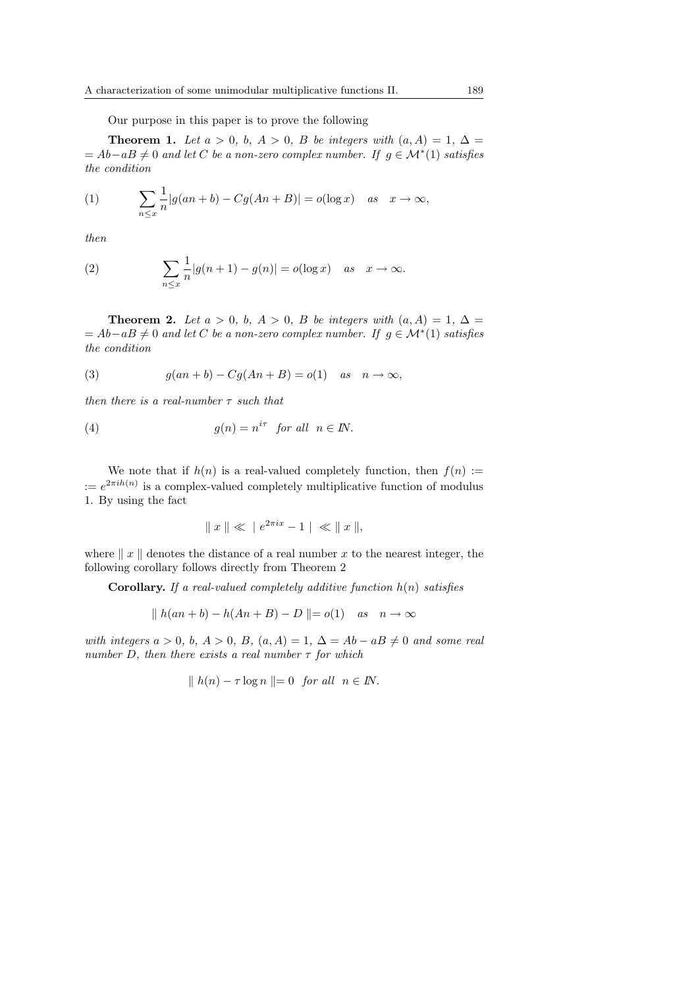Our purpose in this paper is to prove the following

**Theorem 1.** Let  $a > 0$ ,  $b, A > 0$ , B be integers with  $(a, A) = 1, \Delta =$  $A = Ab - aB \neq 0$  and let C be a non-zero complex number. If  $g \in \mathcal{M}^*(1)$  satisfies the condition

(1) 
$$
\sum_{n \leq x} \frac{1}{n} |g(an+b) - Cg(An+B)| = o(\log x) \quad as \quad x \to \infty,
$$

then

(2) 
$$
\sum_{n \leq x} \frac{1}{n} |g(n+1) - g(n)| = o(\log x) \quad \text{as} \quad x \to \infty.
$$

**Theorem 2.** Let  $a > 0$ , b,  $A > 0$ , B be integers with  $(a, A) = 1$ ,  $\Delta =$  $A = Ab - aB \neq 0$  and let C be a non-zero complex number. If  $g \in \mathcal{M}^*(1)$  satisfies the condition

(3) 
$$
g(an+b) - Cg(An+B) = o(1) \quad as \quad n \to \infty,
$$

then there is a real-number  $\tau$  such that

(4) 
$$
g(n) = n^{i\tau} \text{ for all } n \in \mathbb{N}.
$$

We note that if  $h(n)$  is a real-valued completely function, then  $f(n) :=$  $:= e^{2\pi i h(n)}$  is a complex-valued completely multiplicative function of modulus 1. By using the fact

$$
\|x\| \ll \|e^{2\pi ix} - 1\| \ll \|x\|,
$$

where  $x \parallel x$  denotes the distance of a real number x to the nearest integer, the following corollary follows directly from Theorem 2

**Corollary.** If a real-valued completely additive function  $h(n)$  satisfies

$$
\|h(an+b) - h(An+B) - D\| = o(1) \quad as \quad n \to \infty
$$

with integers  $a > 0$ ,  $b, A > 0$ ,  $B, (a, A) = 1, \Delta = Ab - aB \neq 0$  and some real number D, then there exists a real number  $\tau$  for which

$$
\| h(n) - \tau \log n \| = 0 \quad \text{for all} \quad n \in \mathbb{N}.
$$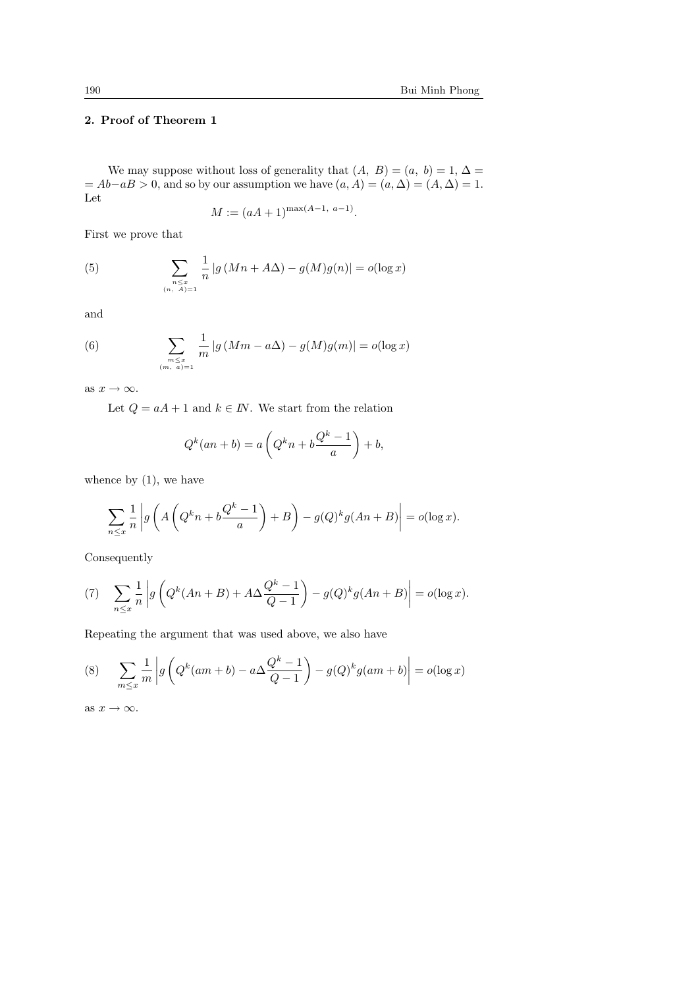# 2. Proof of Theorem 1

We may suppose without loss of generality that  $(A, B) = (a, b) = 1, \Delta =$  $= Ab-aB > 0$ , and so by our assumption we have  $(a, A) = (a, \Delta) = (A, \Delta) = 1$ . Let

$$
M := (aA + 1)^{\max(A-1, a-1)}.
$$

First we prove that

(5) 
$$
\sum_{\substack{n \leq x \\ (n, A) = 1}} \frac{1}{n} |g(Mn + A\Delta) - g(M)g(n)| = o(\log x)
$$

and

(6) 
$$
\sum_{\substack{m \leq x \\ (m, a) = 1}} \frac{1}{m} |g(Mm - a\Delta) - g(M)g(m)| = o(\log x)
$$

as  $x \to \infty$ .

Let  $Q = aA + 1$  and  $k \in I\!N$ . We start from the relation

$$
Q^{k}(an+b) = a\left(Q^{k}n + b\frac{Q^{k}-1}{a}\right) + b,
$$

whence by  $(1)$ , we have

$$
\sum_{n \le x} \frac{1}{n} \left| g\left(A\left(Q^k n + b\frac{Q^k - 1}{a}\right) + B\right) - g(Q)^k g(An + B) \right| = o(\log x).
$$

Consequently

(7) 
$$
\sum_{n \leq x} \frac{1}{n} \left| g \left( Q^k(An+B) + A \Delta \frac{Q^k - 1}{Q - 1} \right) - g(Q)^k g(An+B) \right| = o(\log x).
$$

Repeating the argument that was used above, we also have

(8) 
$$
\sum_{m\leq x} \frac{1}{m} \left| g\left(Q^k(am+b)-a\Delta\frac{Q^k-1}{Q-1}\right)-g(Q)^k g(am+b)\right|=o(\log x)
$$

as  $x \to \infty$ .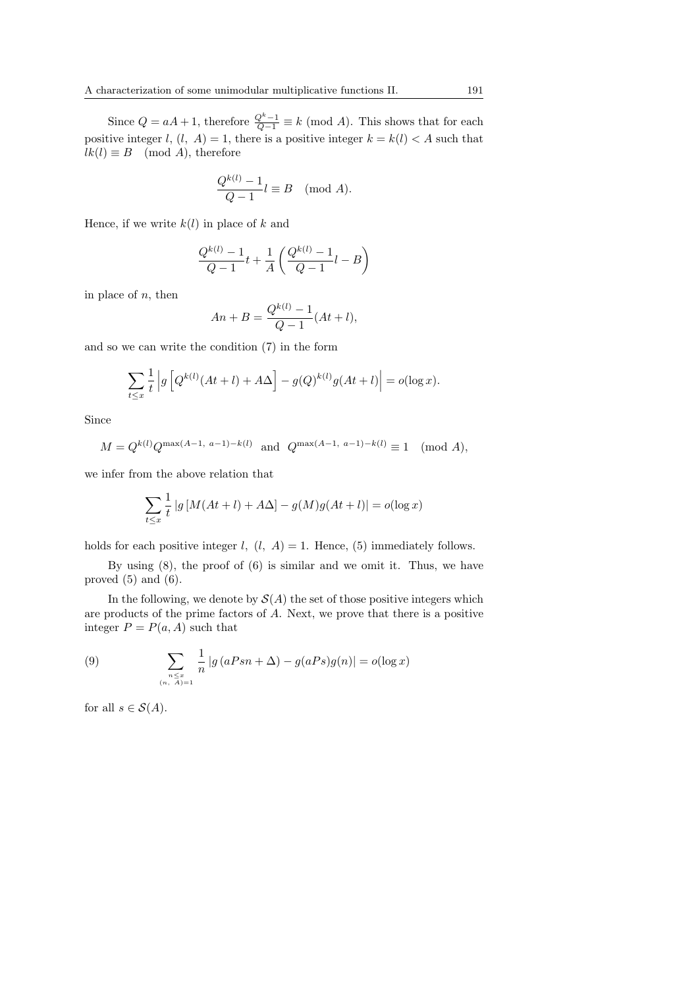Since  $Q = aA + 1$ , therefore  $\frac{Q^k - 1}{Q - 1} \equiv k \pmod{A}$ . This shows that for each positive integer l,  $(l, A) = 1$ , there is a positive integer  $k = k(l) < A$  such that  $lk(l) \equiv B \pmod{A}$ , therefore

$$
\frac{Q^{k(l)} - 1}{Q - 1} l \equiv B \pmod{A}.
$$

Hence, if we write  $k(l)$  in place of k and

$$
\frac{Q^{k(l)} - 1}{Q - 1}t + \frac{1}{A} \left( \frac{Q^{k(l)} - 1}{Q - 1}l - B \right)
$$

in place of  $n$ , then

$$
An + B = \frac{Q^{k(l)} - 1}{Q - 1}(At + l),
$$

and so we can write the condition (7) in the form

$$
\sum_{t \le x} \frac{1}{t} \left| g \left[ Q^{k(l)}(At+l) + A \Delta \right] - g(Q)^{k(l)} g(At+l) \right| = o(\log x).
$$

Since

$$
M = Q^{k(l)}Q^{\max(A-1, a-1)-k(l)} \text{ and } Q^{\max(A-1, a-1)-k(l)} \equiv 1 \pmod{A},
$$

we infer from the above relation that

$$
\sum_{t \le x} \frac{1}{t} |g \left[ M(At + l) + A\Delta \right] - g(M)g(At + l)| = o(\log x)
$$

holds for each positive integer  $l, (l, A) = 1$ . Hence, (5) immediately follows.

By using (8), the proof of (6) is similar and we omit it. Thus, we have proved  $(5)$  and  $(6)$ .

In the following, we denote by  $\mathcal{S}(A)$  the set of those positive integers which are products of the prime factors of A. Next, we prove that there is a positive integer  $P = P(a, A)$  such that

(9) 
$$
\sum_{\substack{n \le x \\ (n, A) = 1}} \frac{1}{n} |g(aPsn + \Delta) - g(aPs)g(n)| = o(\log x)
$$

for all  $s \in \mathcal{S}(A)$ .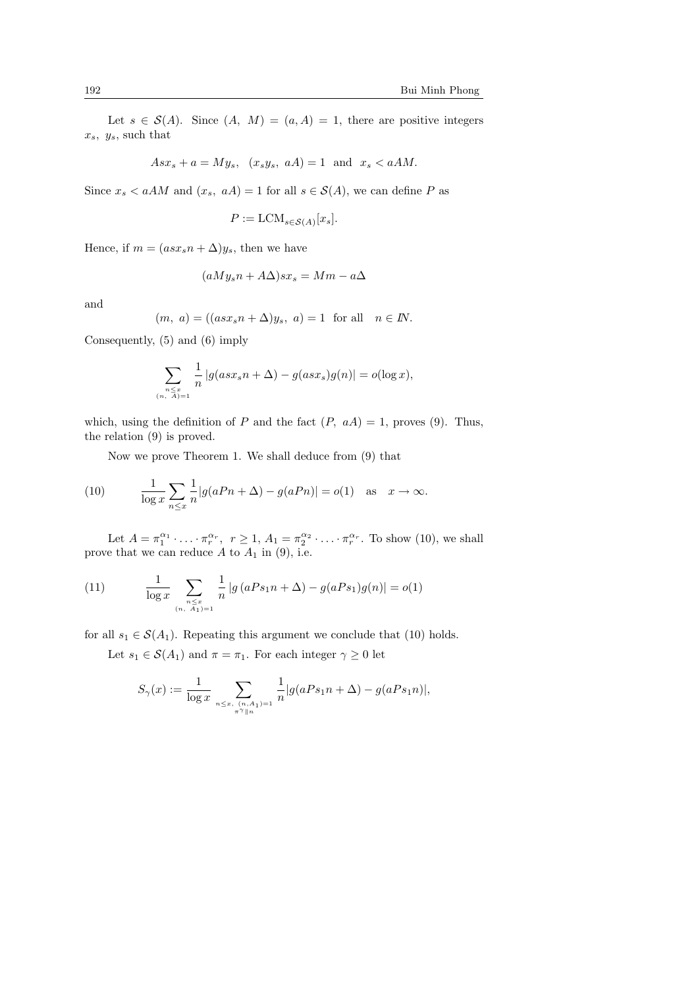Let  $s \in \mathcal{S}(A)$ . Since  $(A, M) = (a, A) = 1$ , there are positive integers  $x_s$ ,  $y_s$ , such that

$$
Asx_s + a = My_s, \quad (x_s y_s, \ aA) = 1 \quad \text{and} \quad x_s < aAM.
$$

Since  $x_s < aAM$  and  $(x_s, aA) = 1$  for all  $s \in \mathcal{S}(A)$ , we can define P as

$$
P := \text{LCM}_{s \in \mathcal{S}(A)}[x_s].
$$

Hence, if  $m = (asx_s n + \Delta)y_s$ , then we have

$$
(aMy_s n + A\Delta)sx_s = Mm - a\Delta
$$

and

$$
(m, a) = ((asxsn + \Delta)ys, a) = 1 \text{ for all } n \in \mathbb{N}.
$$

Consequently, (5) and (6) imply

$$
\sum_{\substack{n \le x \\ (n, A)=1}} \frac{1}{n} |g( ass_s n + \Delta) - g( ass_s)g(n)| = o(\log x),
$$

which, using the definition of P and the fact  $(P, aA) = 1$ , proves (9). Thus, the relation (9) is proved.

Now we prove Theorem 1. We shall deduce from (9) that

(10) 
$$
\frac{1}{\log x} \sum_{n \le x} \frac{1}{n} |g(aPn + \Delta) - g(aPn)| = o(1) \text{ as } x \to \infty.
$$

Let  $A = \pi_1^{\alpha_1} \cdot \ldots \cdot \pi_r^{\alpha_r}$ ,  $r \ge 1$ ,  $A_1 = \pi_2^{\alpha_2} \cdot \ldots \cdot \pi_r^{\alpha_r}$ . To show (10), we shall prove that we can reduce  $A$  to  $A_1$  in (9), i.e.

(11) 
$$
\frac{1}{\log x} \sum_{\substack{n \leq x \\ (n, A_1) = 1}} \frac{1}{n} |g(aPs_1n + \Delta) - g(aPs_1)g(n)| = o(1)
$$

for all  $s_1 \in \mathcal{S}(A_1)$ . Repeating this argument we conclude that (10) holds. Let  $s_1 \in \mathcal{S}(A_1)$  and  $\pi = \pi_1$ . For each integer  $\gamma \geq 0$  let

$$
S_{\gamma}(x) := \frac{1}{\log x} \sum_{n \le x, (n, A_1) = 1 \atop \pi^{\gamma} \| n} \frac{1}{n} |g(aPs_1n + \Delta) - g(aPs_1n)|,
$$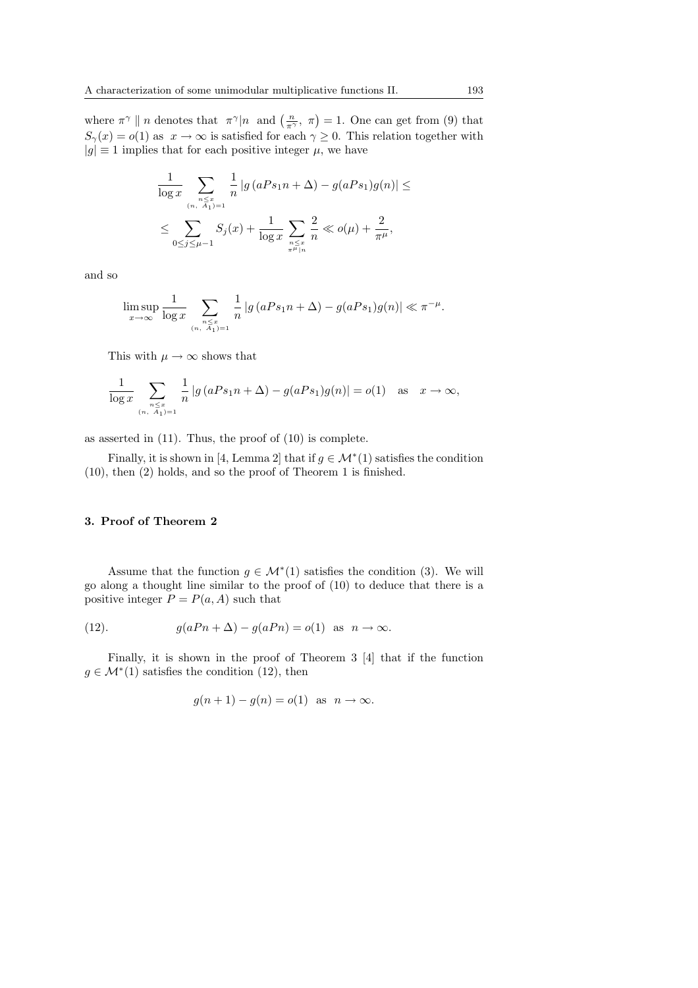where  $\pi^{\gamma} \parallel n$  denotes that  $\pi^{\gamma} \parallel n$  and  $\left(\frac{n}{\pi^{\gamma}}, \pi\right) = 1$ . One can get from (9) that  $S_{\gamma}(x) = o(1)$  as  $x \to \infty$  is satisfied for each  $\gamma \geq 0$ . This relation together with  $|g| \equiv 1$  implies that for each positive integer  $\mu$ , we have

$$
\frac{1}{\log x} \sum_{\substack{n \le x \\ (n, A_1) = 1}} \frac{1}{n} |g(aPs_1n + \Delta) - g(aPs_1)g(n)| \le
$$
  

$$
\le \sum_{0 \le j \le \mu - 1} S_j(x) + \frac{1}{\log x} \sum_{\substack{n \le x \\ \pi^{\mu} \mid n}} \frac{2}{n} \ll o(\mu) + \frac{2}{\pi^{\mu}},
$$

and so

$$
\limsup_{x \to \infty} \frac{1}{\log x} \sum_{\substack{n \leq x \\ (n, A_1) = 1}} \frac{1}{n} |g(aPs_1n + \Delta) - g(aPs_1)g(n)| \ll \pi^{-\mu}.
$$

This with  $\mu \to \infty$  shows that

$$
\frac{1}{\log x} \sum_{\substack{n \leq x \\ (n, A_1) = 1}} \frac{1}{n} |g(aPs_1n + \Delta) - g(aPs_1)g(n)| = o(1) \quad \text{as} \quad x \to \infty,
$$

as asserted in (11). Thus, the proof of (10) is complete.

Finally, it is shown in [4, Lemma 2] that if  $g \in \mathcal{M}^*(1)$  satisfies the condition (10), then (2) holds, and so the proof of Theorem 1 is finished.

## 3. Proof of Theorem 2

Assume that the function  $g \in \mathcal{M}^*(1)$  satisfies the condition (3). We will go along a thought line similar to the proof of (10) to deduce that there is a positive integer  $P = P(a, A)$  such that

(12). 
$$
g(aPn + \Delta) - g(aPn) = o(1) \text{ as } n \to \infty.
$$

Finally, it is shown in the proof of Theorem 3 [4] that if the function  $g \in \mathcal{M}^*(1)$  satisfies the condition (12), then

$$
g(n+1) - g(n) = o(1)
$$
 as  $n \to \infty$ .